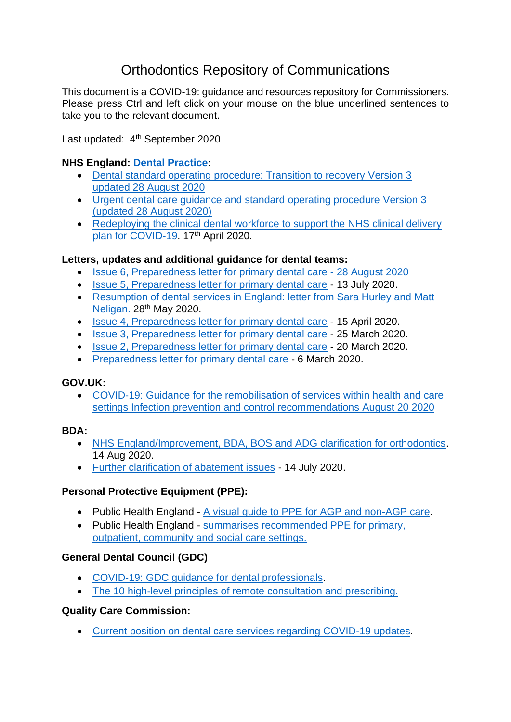# Orthodontics Repository of Communications

This document is a COVID-19: guidance and resources repository for Commissioners. Please press Ctrl and left click on your mouse on the blue underlined sentences to take you to the relevant document.

Last updated: 4<sup>th</sup> September 2020

## **NHS England: [Dental Practice:](https://www.england.nhs.uk/coronavirus/primary-care/dental-practice/)**

- [Dental standard operating procedure: Transition to recovery](https://www.england.nhs.uk/coronavirus/wp-content/uploads/sites/52/2020/06/C0704-dental-transition-to-recovery-sop-28-august-2020.pdf) Version 3 [updated 28 August 2020](https://www.england.nhs.uk/coronavirus/wp-content/uploads/sites/52/2020/06/C0704-dental-transition-to-recovery-sop-28-august-2020.pdf)
- [Urgent dental care guidance and standard operating procedure](https://www.england.nhs.uk/coronavirus/wp-content/uploads/sites/52/2020/08/C0703-covid-19-urgent-dental-care-sop-28-august-2020.pdf) Version 3 [\(updated 28 August 2020\)](https://www.england.nhs.uk/coronavirus/wp-content/uploads/sites/52/2020/08/C0703-covid-19-urgent-dental-care-sop-28-august-2020.pdf)
- Redeploying the clinical dental workforce to support the NHS clinical delivery [plan for COVID-19.](https://www.england.nhs.uk/coronavirus/wp-content/uploads/sites/52/2020/04/C0301-Permissions-Redeploying-our-people-clinical-dental-workforce-v2.pdf) 17<sup>th</sup> April 2020.

## **Letters, updates and additional guidance for dental teams:**

- [Issue 6, Preparedness letter for](https://www.england.nhs.uk/coronavirus/wp-content/uploads/sites/52/2020/03/C0690-dental-update-letter-from-sara-hurley-28-aug-2020.pdf) primary dental care 28 August 2020
- [Issue 5, Preparedness letter for primary dental care](https://www.england.nhs.uk/coronavirus/wp-content/uploads/sites/52/2020/03/C0603-Dental-preparedness-letter_July-2020.pdf) 13 July 2020.
- [Resumption of dental services in England: letter from Sara Hurley and Matt](https://www.england.nhs.uk/coronavirus/wp-content/uploads/sites/52/2020/03/Urgent-dental-care-letter-28-May.pdf)  [Neligan.](https://www.england.nhs.uk/coronavirus/wp-content/uploads/sites/52/2020/03/Urgent-dental-care-letter-28-May.pdf) 28<sup>th</sup> May 2020.
- [Issue 4, Preparedness letter for primary dental care](https://www.england.nhs.uk/coronavirus/wp-content/uploads/sites/52/2020/03/C0282-covid-19-dental-preparedness-letter-15-april-2020.pdf) 15 April 2020.
- [Issue 3, Preparedness letter for primary dental care](https://www.england.nhs.uk/coronavirus/wp-content/uploads/sites/52/2020/03/issue-3-preparedness-letter-for-primary-dental-care-25-march-2020.pdf) 25 March 2020.
- [Issue 2, Preparedness letter for primary dental care](https://www.england.nhs.uk/coronavirus/wp-content/uploads/sites/52/2020/03/Issue-2-Preparedness-letter-for-primary-dental-care-20-March-2020.pdf) 20 March 2020.
- [Preparedness letter for primary dental care](https://www.england.nhs.uk/coronavirus/wp-content/uploads/sites/52/2020/03/preparedness-letter-primary-care-dental-9-march.pdf) 6 March 2020.

## **GOV.UK:**

• [COVID-19: Guidance for the remobilisation of services within health and care](https://assets.publishing.service.gov.uk/government/uploads/system/uploads/attachment_data/file/910885/COVID-19_Infection_prevention_and_control_guidance_FINAL_PDF_20082020.pdf)  [settings Infection prevention and control recommendations](https://assets.publishing.service.gov.uk/government/uploads/system/uploads/attachment_data/file/910885/COVID-19_Infection_prevention_and_control_guidance_FINAL_PDF_20082020.pdf) August 20 2020

## **BDA:**

- [NHS England/Improvement, BDA, BOS and ADG clarification for orthodontics.](https://bda.org/advice/Coronavirus/Documents/Orthodontic-clarification-Aug2020.pdf) 14 Aug 2020.
- [Further clarification of abatement issues](https://bda.org/advice/Coronavirus/Documents/England-further-clarification-of-abatement-issues-140720.pdf#search=side%20letter) 14 July 2020.

# **Personal Protective Equipment (PPE):**

- Public Health England A visual quide to PPE for AGP and non-AGP care.
- Public Health England summarises recommended PPE for primary, [outpatient, community and social care settings.](https://assets.publishing.service.gov.uk/government/uploads/system/uploads/attachment_data/file/878750/T2_poster_Recommended_PPE_for_primary__outpatient__community_and_social_care_by_setting.pdf)

# **General Dental Council (GDC)**

- [COVID-19: GDC guidance for dental professionals.](https://www.gdc-uk.org/information-standards-guidance/covid-19/covid-19-latest-information/covid-19-guidance-from-the-gdc)
- [The 10 high-level principles of remote consultation and prescribing.](https://www.gdc-uk.org/docs/default-source/guidance-documents/high-level-principles-remote-consultations-and-prescribing.pdf)

## **Quality Care Commission:**

• [Current position on dental care services regarding COVID-19 updates.](https://www.cqc.org.uk/guidance-providers/dentists/current-position-dental-care-services-regarding-covid-19-updates)